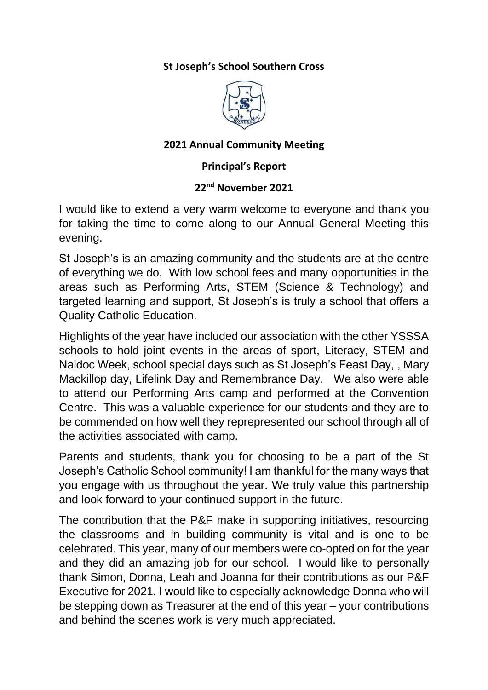### **St Joseph's School Southern Cross**



### **2021 Annual Community Meeting**

#### **Principal's Report**

#### **22nd November 2021**

I would like to extend a very warm welcome to everyone and thank you for taking the time to come along to our Annual General Meeting this evening.

St Joseph's is an amazing community and the students are at the centre of everything we do. With low school fees and many opportunities in the areas such as Performing Arts, STEM (Science & Technology) and targeted learning and support, St Joseph's is truly a school that offers a Quality Catholic Education.

Highlights of the year have included our association with the other YSSSA schools to hold joint events in the areas of sport, Literacy, STEM and Naidoc Week, school special days such as St Joseph's Feast Day, , Mary Mackillop day, Lifelink Day and Remembrance Day. We also were able to attend our Performing Arts camp and performed at the Convention Centre. This was a valuable experience for our students and they are to be commended on how well they reprepresented our school through all of the activities associated with camp.

Parents and students, thank you for choosing to be a part of the St Joseph's Catholic School community! I am thankful for the many ways that you engage with us throughout the year. We truly value this partnership and look forward to your continued support in the future.

The contribution that the P&F make in supporting initiatives, resourcing the classrooms and in building community is vital and is one to be celebrated. This year, many of our members were co-opted on for the year and they did an amazing job for our school. I would like to personally thank Simon, Donna, Leah and Joanna for their contributions as our P&F Executive for 2021. I would like to especially acknowledge Donna who will be stepping down as Treasurer at the end of this year – your contributions and behind the scenes work is very much appreciated.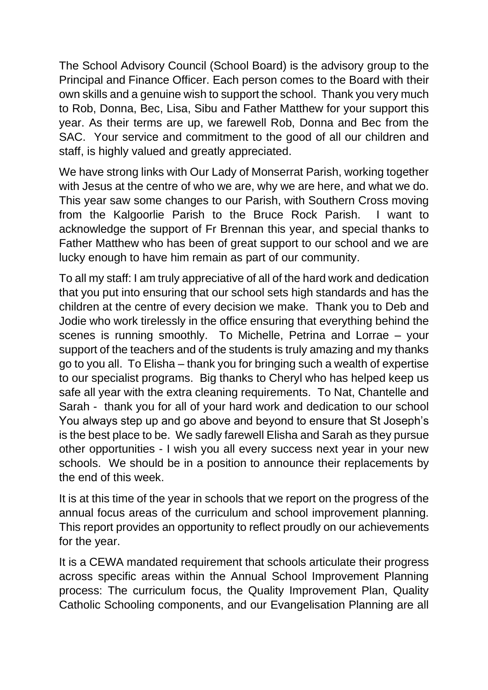The School Advisory Council (School Board) is the advisory group to the Principal and Finance Officer. Each person comes to the Board with their own skills and a genuine wish to support the school. Thank you very much to Rob, Donna, Bec, Lisa, Sibu and Father Matthew for your support this year. As their terms are up, we farewell Rob, Donna and Bec from the SAC. Your service and commitment to the good of all our children and staff, is highly valued and greatly appreciated.

We have strong links with Our Lady of Monserrat Parish, working together with Jesus at the centre of who we are, why we are here, and what we do. This year saw some changes to our Parish, with Southern Cross moving from the Kalgoorlie Parish to the Bruce Rock Parish. I want to acknowledge the support of Fr Brennan this year, and special thanks to Father Matthew who has been of great support to our school and we are lucky enough to have him remain as part of our community.

To all my staff: I am truly appreciative of all of the hard work and dedication that you put into ensuring that our school sets high standards and has the children at the centre of every decision we make. Thank you to Deb and Jodie who work tirelessly in the office ensuring that everything behind the scenes is running smoothly. To Michelle, Petrina and Lorrae – your support of the teachers and of the students is truly amazing and my thanks go to you all. To Elisha – thank you for bringing such a wealth of expertise to our specialist programs. Big thanks to Cheryl who has helped keep us safe all year with the extra cleaning requirements. To Nat, Chantelle and Sarah - thank you for all of your hard work and dedication to our school You always step up and go above and beyond to ensure that St Joseph's is the best place to be. We sadly farewell Elisha and Sarah as they pursue other opportunities - I wish you all every success next year in your new schools. We should be in a position to announce their replacements by the end of this week.

It is at this time of the year in schools that we report on the progress of the annual focus areas of the curriculum and school improvement planning. This report provides an opportunity to reflect proudly on our achievements for the year.

It is a CEWA mandated requirement that schools articulate their progress across specific areas within the Annual School Improvement Planning process: The curriculum focus, the Quality Improvement Plan, Quality Catholic Schooling components, and our Evangelisation Planning are all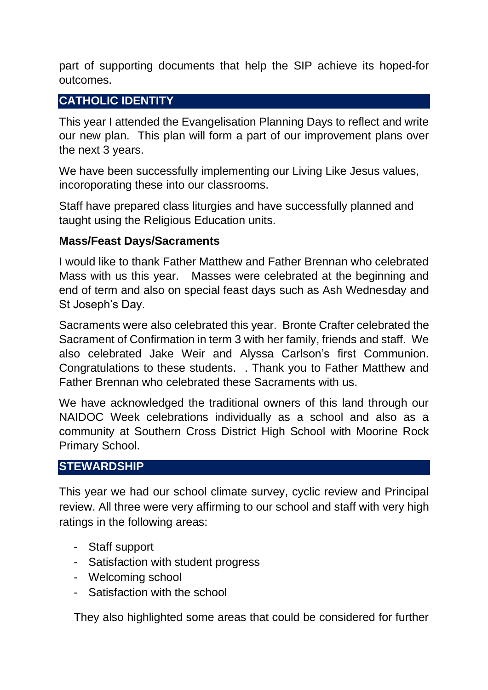part of supporting documents that help the SIP achieve its hoped-for outcomes.

# **CATHOLIC IDENTITY**

This year I attended the Evangelisation Planning Days to reflect and write our new plan. This plan will form a part of our improvement plans over the next 3 years.

We have been successfully implementing our Living Like Jesus values, incoroporating these into our classrooms.

Staff have prepared class liturgies and have successfully planned and taught using the Religious Education units.

## **Mass/Feast Days/Sacraments**

I would like to thank Father Matthew and Father Brennan who celebrated Mass with us this year. Masses were celebrated at the beginning and end of term and also on special feast days such as Ash Wednesday and St Joseph's Day.

Sacraments were also celebrated this year. Bronte Crafter celebrated the Sacrament of Confirmation in term 3 with her family, friends and staff. We also celebrated Jake Weir and Alyssa Carlson's first Communion. Congratulations to these students. . Thank you to Father Matthew and Father Brennan who celebrated these Sacraments with us.

We have acknowledged the traditional owners of this land through our NAIDOC Week celebrations individually as a school and also as a community at Southern Cross District High School with Moorine Rock Primary School.

# **STEWARDSHIP**

This year we had our school climate survey, cyclic review and Principal review. All three were very affirming to our school and staff with very high ratings in the following areas:

- Staff support
- Satisfaction with student progress
- Welcoming school
- Satisfaction with the school

They also highlighted some areas that could be considered for further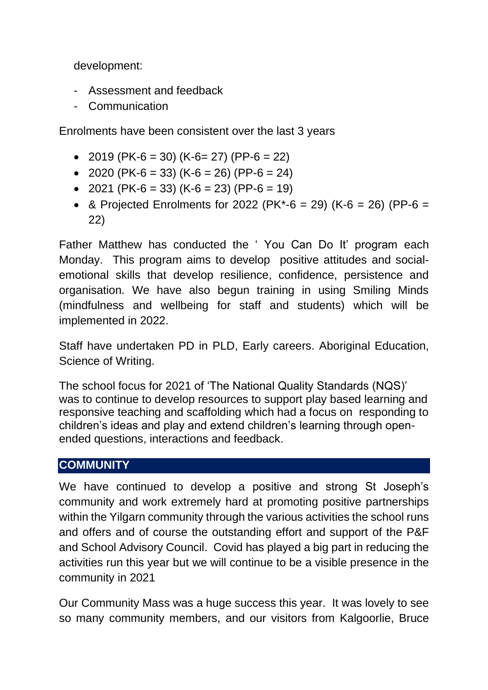development:

- Assessment and feedback
- Communication

Enrolments have been consistent over the last 3 years

- 2019 (PK-6 = 30) (K-6 = 27) (PP-6 = 22)
- 2020 (PK-6 = 33) (K-6 = 26) (PP-6 = 24)
- 2021 (PK-6 = 33) (K-6 = 23) (PP-6 = 19)
- & Projected Enrolments for 2022 (PK\*-6 = 29) (K-6 = 26) (PP-6 = 22)

Father Matthew has conducted the ' You Can Do It' program each Monday. This program aims to develop positive attitudes and socialemotional skills that develop resilience, confidence, persistence and organisation. We have also begun training in using Smiling Minds (mindfulness and wellbeing for staff and students) which will be implemented in 2022.

Staff have undertaken PD in PLD, Early careers. Aboriginal Education, Science of Writing.

The school focus for 2021 of 'The National Quality Standards (NQS)' was to continue to develop resources to support play based learning and responsive teaching and scaffolding which had a focus on responding to children's ideas and play and extend children's learning through openended questions, interactions and feedback.

### **COMMUNITY**

We have continued to develop a positive and strong St Joseph's community and work extremely hard at promoting positive partnerships within the Yilgarn community through the various activities the school runs and offers and of course the outstanding effort and support of the P&F and School Advisory Council. Covid has played a big part in reducing the activities run this year but we will continue to be a visible presence in the community in 2021

Our Community Mass was a huge success this year. It was lovely to see so many community members, and our visitors from Kalgoorlie, Bruce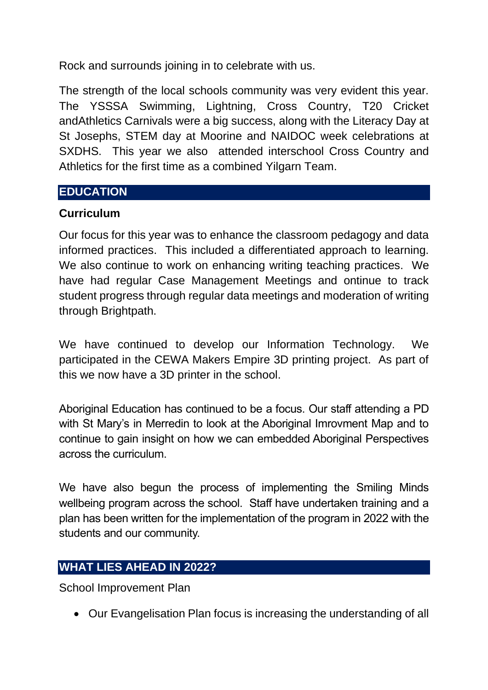Rock and surrounds joining in to celebrate with us.

The strength of the local schools community was very evident this year. The YSSSA Swimming, Lightning, Cross Country, T20 Cricket andAthletics Carnivals were a big success, along with the Literacy Day at St Josephs, STEM day at Moorine and NAIDOC week celebrations at SXDHS. This year we also attended interschool Cross Country and Athletics for the first time as a combined Yilgarn Team.

## **EDUCATION**

## **Curriculum**

Our focus for this year was to enhance the classroom pedagogy and data informed practices. This included a differentiated approach to learning. We also continue to work on enhancing writing teaching practices. We have had regular Case Management Meetings and ontinue to track student progress through regular data meetings and moderation of writing through Brightpath.

We have continued to develop our Information Technology. We participated in the CEWA Makers Empire 3D printing project. As part of this we now have a 3D printer in the school.

Aboriginal Education has continued to be a focus. Our staff attending a PD with St Mary's in Merredin to look at the Aboriginal Imrovment Map and to continue to gain insight on how we can embedded Aboriginal Perspectives across the curriculum.

We have also begun the process of implementing the Smiling Minds wellbeing program across the school. Staff have undertaken training and a plan has been written for the implementation of the program in 2022 with the students and our community.

# **WHAT LIES AHEAD IN 2022?**

School Improvement Plan

• Our Evangelisation Plan focus is increasing the understanding of all